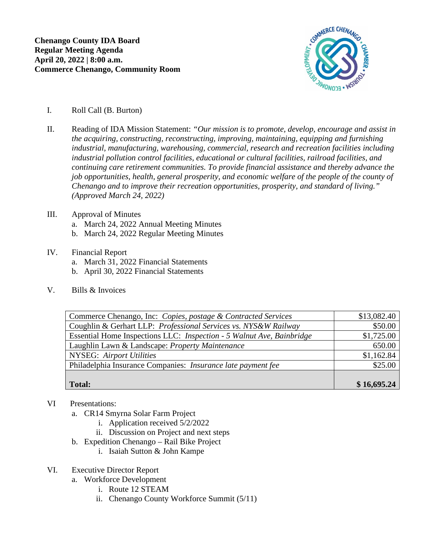

- I. Roll Call (B. Burton)
- II. Reading of IDA Mission Statement: *"Our mission is to promote, develop, encourage and assist in the acquiring, constructing, reconstructing, improving, maintaining, equipping and furnishing industrial, manufacturing, warehousing, commercial, research and recreation facilities including industrial pollution control facilities, educational or cultural facilities, railroad facilities, and continuing care retirement communities. To provide financial assistance and thereby advance the job opportunities, health, general prosperity, and economic welfare of the people of the county of Chenango and to improve their recreation opportunities, prosperity, and standard of living." (Approved March 24, 2022)*
- III. Approval of Minutes
	- a. March 24, 2022 Annual Meeting Minutes
	- b. March 24, 2022 Regular Meeting Minutes
- IV. Financial Report
	- a. March 31, 2022 Financial Statements
	- b. April 30, 2022 Financial Statements
- V. Bills & Invoices

| Commerce Chenango, Inc: Copies, postage & Contracted Services         | \$13,082.40 |
|-----------------------------------------------------------------------|-------------|
| Coughlin & Gerhart LLP: Professional Services vs. NYS&W Railway       | \$50.00     |
| Essential Home Inspections LLC: Inspection - 5 Walnut Ave, Bainbridge | \$1,725.00  |
| Laughlin Lawn & Landscape: Property Maintenance                       | 650.00      |
| <b>NYSEG:</b> Airport Utilities                                       | \$1,162.84  |
| Philadelphia Insurance Companies: Insurance late payment fee          | \$25.00     |
|                                                                       |             |
| <b>Total:</b>                                                         | \$16,695.24 |

- VI Presentations:
	- a. CR14 Smyrna Solar Farm Project
		- i. Application received 5/2/2022
		- ii. Discussion on Project and next steps
	- b. Expedition Chenango Rail Bike Project
		- i. Isaiah Sutton & John Kampe
- VI. Executive Director Report
	- a. Workforce Development
		- i. Route 12 STEAM
		- ii. Chenango County Workforce Summit (5/11)